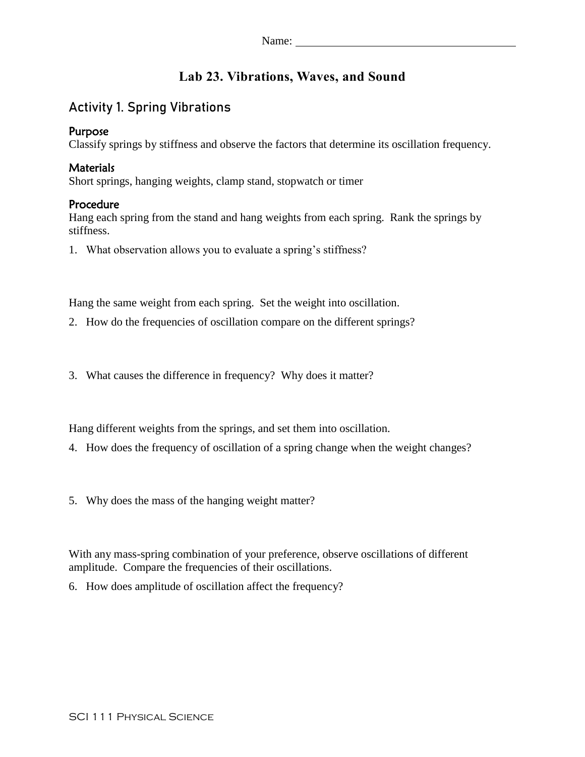# **Lab 23. Vibrations, Waves, and Sound**

# **Activity 1. Spring Vibrations**

### Purpose

Classify springs by stiffness and observe the factors that determine its oscillation frequency.

### **Materials**

Short springs, hanging weights, clamp stand, stopwatch or timer

## Procedure

Hang each spring from the stand and hang weights from each spring. Rank the springs by stiffness.

1. What observation allows you to evaluate a spring's stiffness?

Hang the same weight from each spring. Set the weight into oscillation.

- 2. How do the frequencies of oscillation compare on the different springs?
- 3. What causes the difference in frequency? Why does it matter?

Hang different weights from the springs, and set them into oscillation.

- 4. How does the frequency of oscillation of a spring change when the weight changes?
- 5. Why does the mass of the hanging weight matter?

With any mass-spring combination of your preference, observe oscillations of different amplitude. Compare the frequencies of their oscillations.

6. How does amplitude of oscillation affect the frequency?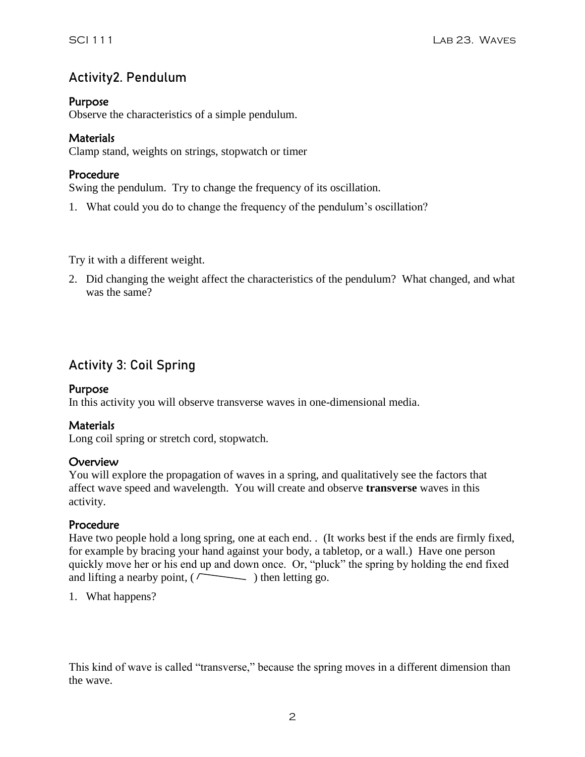# **Activity2. Pendulum**

### Purpose

Observe the characteristics of a simple pendulum.

### **Materials**

Clamp stand, weights on strings, stopwatch or timer

#### Procedure

Swing the pendulum. Try to change the frequency of its oscillation.

1. What could you do to change the frequency of the pendulum's oscillation?

Try it with a different weight.

2. Did changing the weight affect the characteristics of the pendulum? What changed, and what was the same?

# **Activity 3: Coil Spring**

#### Purpose

In this activity you will observe transverse waves in one-dimensional media.

#### **Materials**

Long coil spring or stretch cord, stopwatch.

#### **Overview**

You will explore the propagation of waves in a spring, and qualitatively see the factors that affect wave speed and wavelength. You will create and observe **transverse** waves in this activity.

#### Procedure

Have two people hold a long spring, one at each end. . (It works best if the ends are firmly fixed, for example by bracing your hand against your body, a tabletop, or a wall.) Have one person quickly move her or his end up and down once. Or, "pluck" the spring by holding the end fixed and lifting a nearby point,  $(\sim)$  then letting go.

1. What happens?

This kind of wave is called "transverse," because the spring moves in a different dimension than the wave.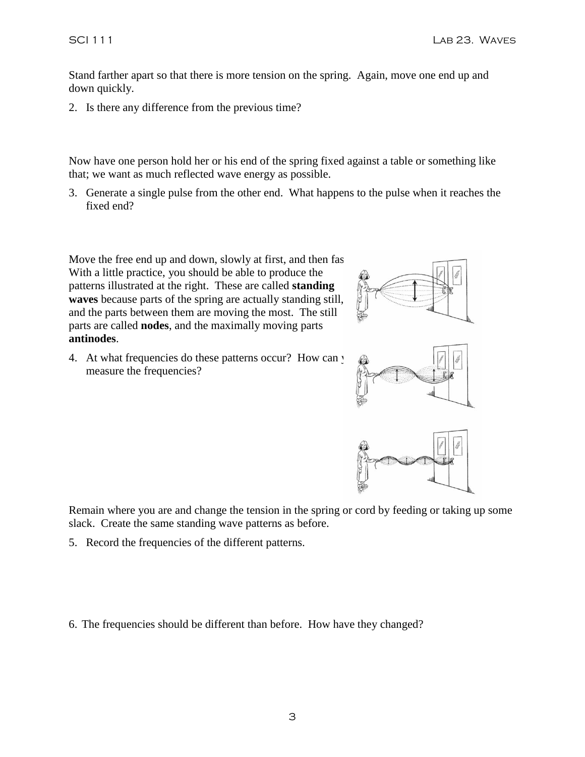Stand farther apart so that there is more tension on the spring. Again, move one end up and down quickly.

2. Is there any difference from the previous time?

Now have one person hold her or his end of the spring fixed against a table or something like that; we want as much reflected wave energy as possible.

3. Generate a single pulse from the other end. What happens to the pulse when it reaches the fixed end?

Move the free end up and down, slowly at first, and then fas With a little practice, you should be able to produce the patterns illustrated at the right. These are called **standing waves** because parts of the spring are actually standing still, and the parts between them are moving the most. The still parts are called **nodes**, and the maximally moving parts **antinodes**.

4. At what frequencies do these patterns occur? How can y measure the frequencies?







Remain where you are and change the tension in the spring or cord by feeding or taking up some slack. Create the same standing wave patterns as before.

- 5. Record the frequencies of the different patterns.
- 6. The frequencies should be different than before. How have they changed?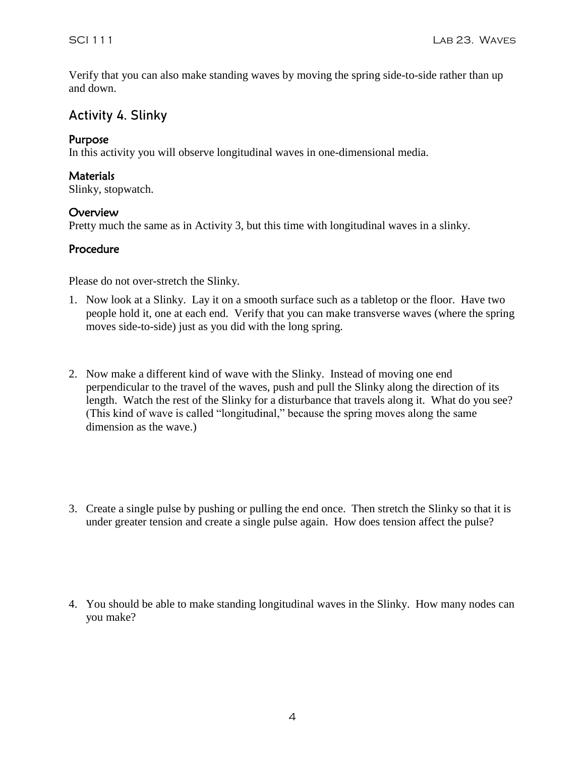Verify that you can also make standing waves by moving the spring side-to-side rather than up and down.

# **Activity 4. Slinky**

#### Purpose

In this activity you will observe longitudinal waves in one-dimensional media.

#### **Materials**

Slinky, stopwatch.

#### **Overview**

Pretty much the same as in Activity 3, but this time with longitudinal waves in a slinky.

#### Procedure

Please do not over-stretch the Slinky.

- 1. Now look at a Slinky. Lay it on a smooth surface such as a tabletop or the floor. Have two people hold it, one at each end. Verify that you can make transverse waves (where the spring moves side-to-side) just as you did with the long spring.
- 2. Now make a different kind of wave with the Slinky. Instead of moving one end perpendicular to the travel of the waves, push and pull the Slinky along the direction of its length. Watch the rest of the Slinky for a disturbance that travels along it. What do you see? (This kind of wave is called "longitudinal," because the spring moves along the same dimension as the wave.)
- 3. Create a single pulse by pushing or pulling the end once. Then stretch the Slinky so that it is under greater tension and create a single pulse again. How does tension affect the pulse?
- 4. You should be able to make standing longitudinal waves in the Slinky. How many nodes can you make?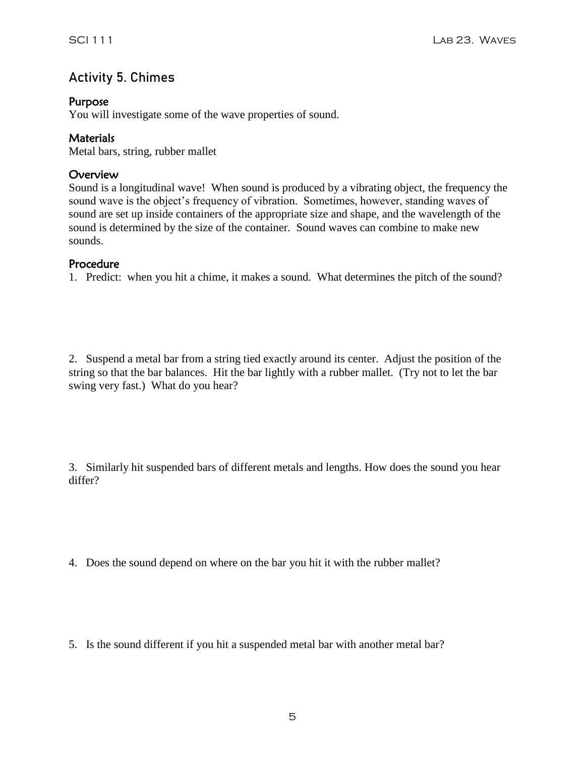# **Activity 5. Chimes**

## Purpose

You will investigate some of the wave properties of sound.

### **Materials**

Metal bars, string, rubber mallet

#### **Overview**

Sound is a longitudinal wave! When sound is produced by a vibrating object, the frequency the sound wave is the object's frequency of vibration. Sometimes, however, standing waves of sound are set up inside containers of the appropriate size and shape, and the wavelength of the sound is determined by the size of the container. Sound waves can combine to make new sounds.

#### Procedure

1. Predict: when you hit a chime, it makes a sound. What determines the pitch of the sound?

2. Suspend a metal bar from a string tied exactly around its center. Adjust the position of the string so that the bar balances. Hit the bar lightly with a rubber mallet. (Try not to let the bar swing very fast.) What do you hear?

3. Similarly hit suspended bars of different metals and lengths. How does the sound you hear differ?

4. Does the sound depend on where on the bar you hit it with the rubber mallet?

5. Is the sound different if you hit a suspended metal bar with another metal bar?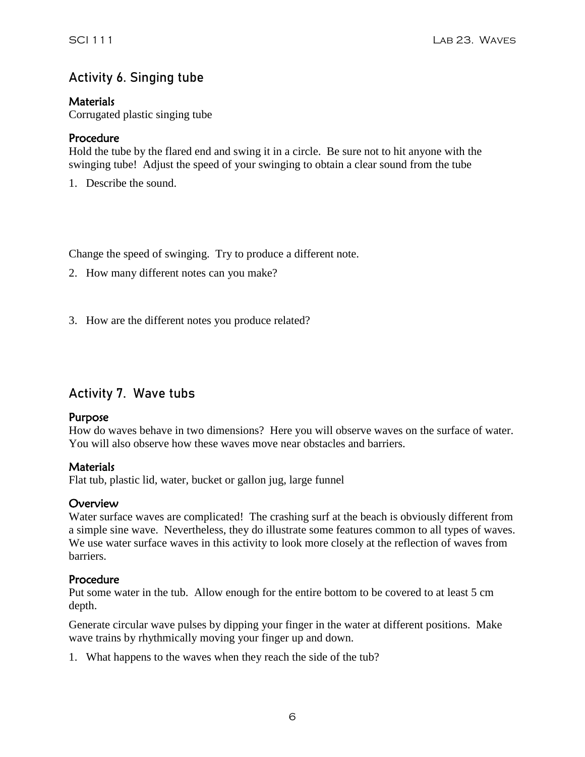# **Activity 6. Singing tube**

## **Materials**

Corrugated plastic singing tube

## Procedure

Hold the tube by the flared end and swing it in a circle. Be sure not to hit anyone with the swinging tube! Adjust the speed of your swinging to obtain a clear sound from the tube

1. Describe the sound.

Change the speed of swinging. Try to produce a different note.

- 2. How many different notes can you make?
- 3. How are the different notes you produce related?

# **Activity 7. Wave tubs**

#### Purpose

How do waves behave in two dimensions? Here you will observe waves on the surface of water. You will also observe how these waves move near obstacles and barriers.

#### **Materials**

Flat tub, plastic lid, water, bucket or gallon jug, large funnel

## **Overview**

Water surface waves are complicated! The crashing surf at the beach is obviously different from a simple sine wave. Nevertheless, they do illustrate some features common to all types of waves. We use water surface waves in this activity to look more closely at the reflection of waves from barriers.

## Procedure

Put some water in the tub. Allow enough for the entire bottom to be covered to at least 5 cm depth.

Generate circular wave pulses by dipping your finger in the water at different positions. Make wave trains by rhythmically moving your finger up and down.

1. What happens to the waves when they reach the side of the tub?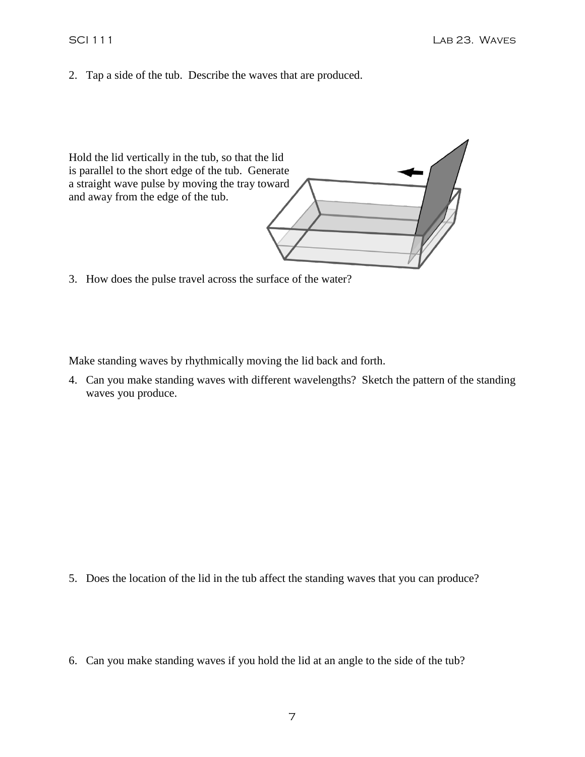2. Tap a side of the tub. Describe the waves that are produced.



3. How does the pulse travel across the surface of the water?

Make standing waves by rhythmically moving the lid back and forth.

4. Can you make standing waves with different wavelengths? Sketch the pattern of the standing waves you produce.

- 5. Does the location of the lid in the tub affect the standing waves that you can produce?
- 6. Can you make standing waves if you hold the lid at an angle to the side of the tub?